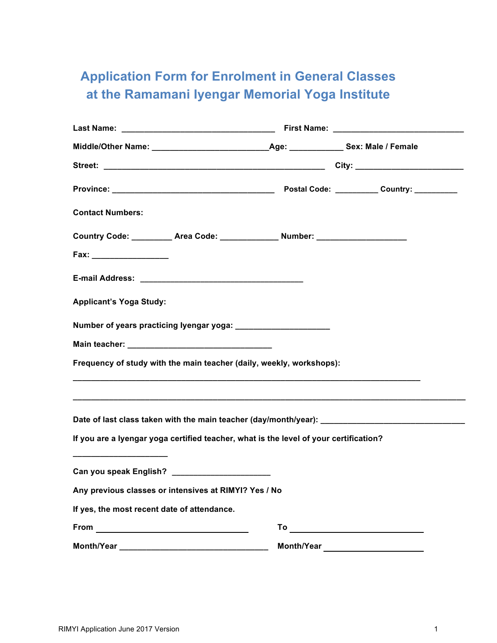## **Application Form for Enrolment in General Classes at the Ramamani Iyengar Memorial Yoga Institute**

| <b>Contact Numbers:</b>                                                                                                             |            |  |
|-------------------------------------------------------------------------------------------------------------------------------------|------------|--|
| Country Code: __________ Area Code: _____________ Number: ______________________                                                    |            |  |
|                                                                                                                                     |            |  |
|                                                                                                                                     |            |  |
| <b>Applicant's Yoga Study:</b>                                                                                                      |            |  |
| Number of years practicing lyengar yoga: ________________________                                                                   |            |  |
|                                                                                                                                     |            |  |
| Frequency of study with the main teacher (daily, weekly, workshops):                                                                |            |  |
| Date of last class taken with the main teacher (day/month/year): __________________________________                                 |            |  |
| If you are a lyengar yoga certified teacher, what is the level of your certification?                                               |            |  |
| Can you speak English? _________________________                                                                                    |            |  |
| Any previous classes or intensives at RIMYI? Yes / No                                                                               |            |  |
| If yes, the most recent date of attendance.                                                                                         |            |  |
|                                                                                                                                     |            |  |
| Month/Year_<br><u> 2000 - 2000 - 2000 - 2000 - 2000 - 2000 - 2000 - 2000 - 2000 - 2000 - 2000 - 2000 - 2000 - 2000 - 2000 - 200</u> | Month/Year |  |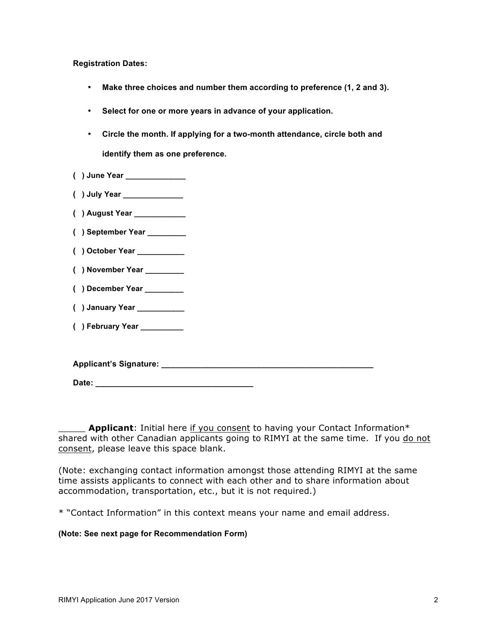**Registration Dates:**

- **Make three choices and number them according to preference (1, 2 and 3).**
- **Select for one or more years in advance of your application.**
- **Circle the month. If applying for a two-month attendance, circle both and identify them as one preference.**
- **( ) June Year \_\_\_\_\_\_\_\_\_\_\_\_\_\_**
- **( ) July Year \_\_\_\_\_\_\_\_\_\_\_\_\_\_**
- **( ) August Year \_\_\_\_\_\_\_\_\_\_\_\_**
- **( ) September Year \_\_\_\_\_\_\_\_\_**
- **( ) October Year \_\_\_\_\_\_\_\_\_\_\_**
- **( ) November Year \_\_\_\_\_\_\_\_\_**
- **( ) December Year \_\_\_\_\_\_\_\_\_**
- **( ) January Year \_\_\_\_\_\_\_\_\_\_\_**
- **( ) February Year \_\_\_\_\_\_\_\_\_\_**

**Applicant's Signature: \_\_\_\_\_\_\_\_\_\_\_\_\_\_\_\_\_\_\_\_\_\_\_\_\_\_\_\_\_\_\_\_\_\_\_\_\_\_\_\_\_\_\_\_\_\_\_**

Date:

Applicant: Initial here if you consent to having your Contact Information\* shared with other Canadian applicants going to RIMYI at the same time. If you do not consent, please leave this space blank.

(Note: exchanging contact information amongst those attending RIMYI at the same time assists applicants to connect with each other and to share information about accommodation, transportation, etc., but it is not required.)

\* "Contact Information" in this context means your name and email address.

## **(Note: See next page for Recommendation Form)**